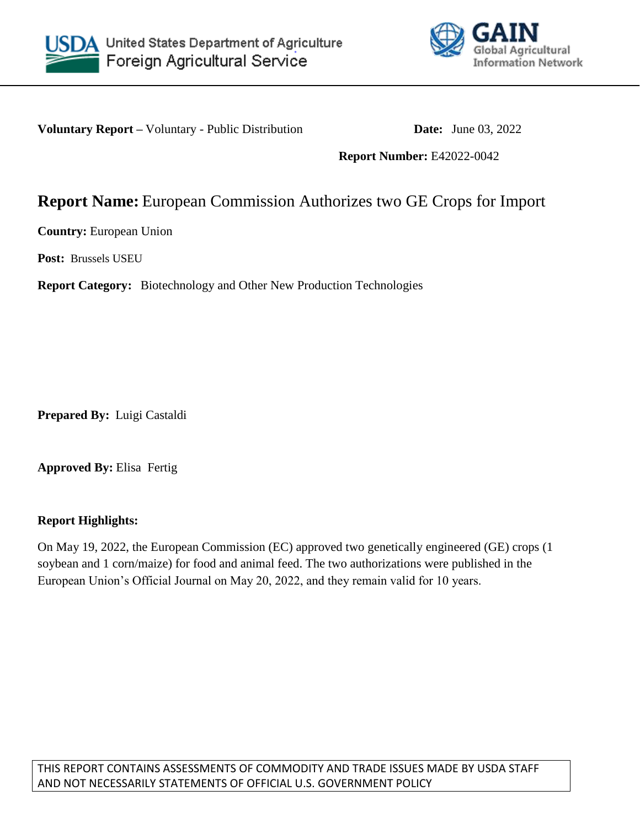



**Voluntary Report** – Voluntary - Public Distribution **Date:** June 03, 2022

**Report Number:** E42022-0042

# **Report Name:** European Commission Authorizes two GE Crops for Import

**Country:** European Union

**Post:** Brussels USEU

**Report Category:** Biotechnology and Other New Production Technologies

**Prepared By:** Luigi Castaldi

**Approved By:** Elisa Fertig

### **Report Highlights:**

On May 19, 2022, the European Commission (EC) approved two genetically engineered (GE) crops (1 soybean and 1 corn/maize) for food and animal feed. The two authorizations were published in the European Union's Official Journal on May 20, 2022, and they remain valid for 10 years.